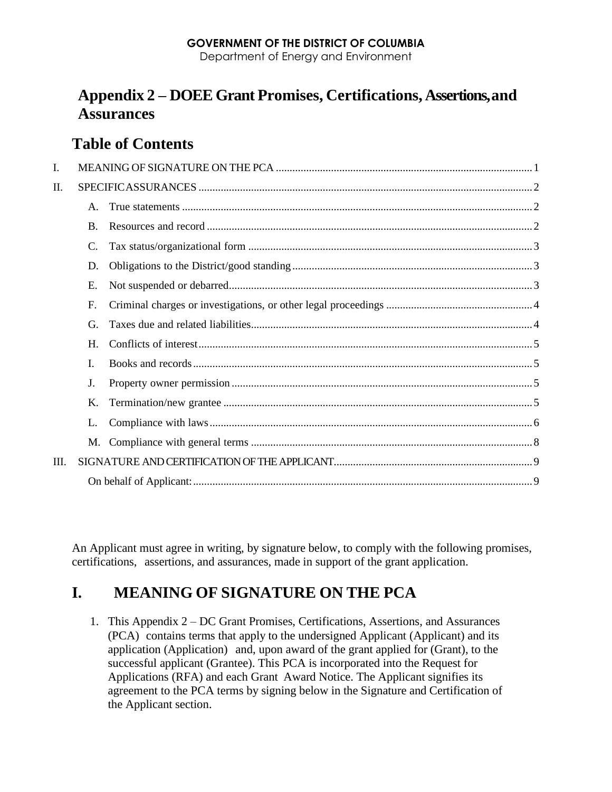### **GOVERNMENT OF THE DISTRICT OF COLUMBIA**

Department of Energy and Environment

# **Appendix 2 – DOEE Grant Promises, Certifications, Assertions,and Assurances**

# **Table of Contents**

| I.   |                |  |  |
|------|----------------|--|--|
| П.   |                |  |  |
|      | $A_{-}$        |  |  |
|      | $\mathbf{B}$ . |  |  |
|      | C.             |  |  |
|      | D.             |  |  |
|      | Ε.             |  |  |
|      | F.             |  |  |
|      | G.             |  |  |
|      | $H_{\cdot}$    |  |  |
|      | Ι.             |  |  |
|      | J.             |  |  |
|      | Κ.             |  |  |
|      | L.             |  |  |
|      | M.             |  |  |
| III. |                |  |  |
|      |                |  |  |

An Applicant must agree in writing, by signature below, to comply with the following promises, certifications, assertions, and assurances, made in support of the grant application.

# <span id="page-0-0"></span>**I. MEANING OF SIGNATURE ON THE PCA**

1. This Appendix 2 – DC Grant Promises, Certifications, Assertions, and Assurances (PCA) contains terms that apply to the undersigned Applicant (Applicant) and its application (Application) and, upon award of the grant applied for (Grant), to the successful applicant (Grantee). This PCA is incorporated into the Request for Applications (RFA) and each Grant Award Notice. The Applicant signifies its agreement to the PCA terms by signing below in the Signature and Certification of the Applicant section.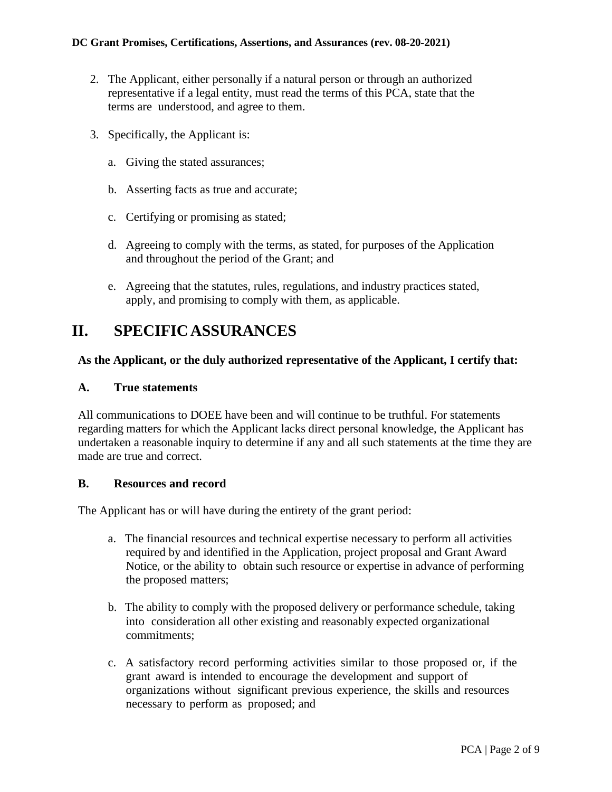- 2. The Applicant, either personally if a natural person or through an authorized representative if a legal entity, must read the terms of this PCA, state that the terms are understood, and agree to them.
- 3. Specifically, the Applicant is:
	- a. Giving the stated assurances;
	- b. Asserting facts as true and accurate;
	- c. Certifying or promising as stated;
	- d. Agreeing to comply with the terms, as stated, for purposes of the Application and throughout the period of the Grant; and
	- e. Agreeing that the statutes, rules, regulations, and industry practices stated, apply, and promising to comply with them, as applicable.

## <span id="page-1-0"></span>**II. SPECIFICASSURANCES**

#### **As the Applicant, or the duly authorized representative of the Applicant, I certify that:**

#### <span id="page-1-1"></span>**A. True statements**

All communications to DOEE have been and will continue to be truthful. For statements regarding matters for which the Applicant lacks direct personal knowledge, the Applicant has undertaken a reasonable inquiry to determine if any and all such statements at the time they are made are true and correct.

#### <span id="page-1-2"></span>**B. Resources and record**

The Applicant has or will have during the entirety of the grant period:

- a. The financial resources and technical expertise necessary to perform all activities required by and identified in the Application, project proposal and Grant Award Notice, or the ability to obtain such resource or expertise in advance of performing the proposed matters;
- b. The ability to comply with the proposed delivery or performance schedule, taking into consideration all other existing and reasonably expected organizational commitments;
- c. A satisfactory record performing activities similar to those proposed or, if the grant award is intended to encourage the development and support of organizations without significant previous experience, the skills and resources necessary to perform as proposed; and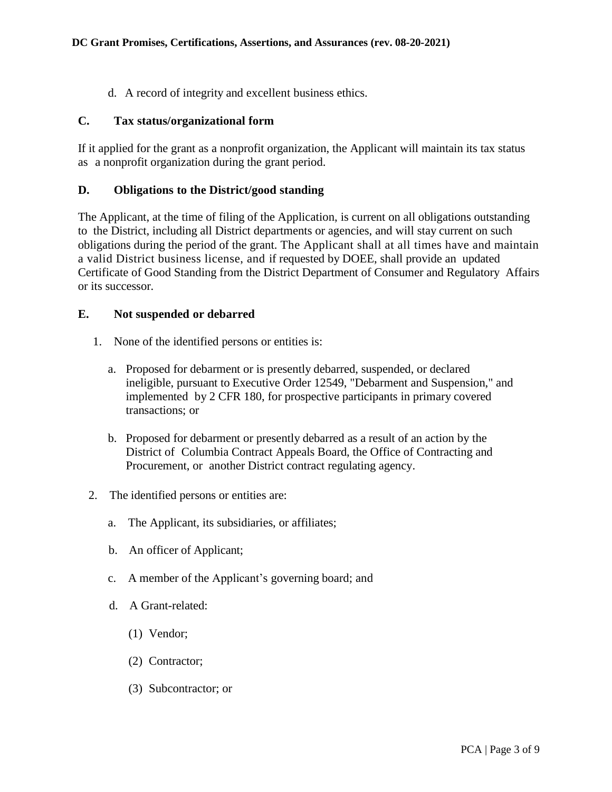d. A record of integrity and excellent business ethics.

#### <span id="page-2-0"></span>**C. Tax status/organizational form**

If it applied for the grant as a nonprofit organization, the Applicant will maintain its tax status as a nonprofit organization during the grant period.

### <span id="page-2-1"></span>**D. Obligations to the District/good standing**

The Applicant, at the time of filing of the Application, is current on all obligations outstanding to the District, including all District departments or agencies, and will stay current on such obligations during the period of the grant. The Applicant shall at all times have and maintain a valid District business license, and if requested by DOEE, shall provide an updated Certificate of Good Standing from the District Department of Consumer and Regulatory Affairs or its successor.

### <span id="page-2-2"></span>**E. Not suspended or debarred**

- 1. None of the identified persons or entities is:
	- a. Proposed for debarment or is presently debarred, suspended, or declared ineligible, pursuant to Executive Order 12549, "Debarment and Suspension," and implemented by 2 CFR 180, for prospective participants in primary covered transactions; or
	- b. Proposed for debarment or presently debarred as a result of an action by the District of Columbia Contract Appeals Board, the Office of Contracting and Procurement, or another District contract regulating agency.
- 2. The identified persons or entities are:
	- a. The Applicant, its subsidiaries, or affiliates;
	- b. An officer of Applicant;
	- c. A member of the Applicant's governing board; and
	- d. A Grant-related:
		- (1) Vendor;
		- (2) Contractor;
		- (3) Subcontractor; or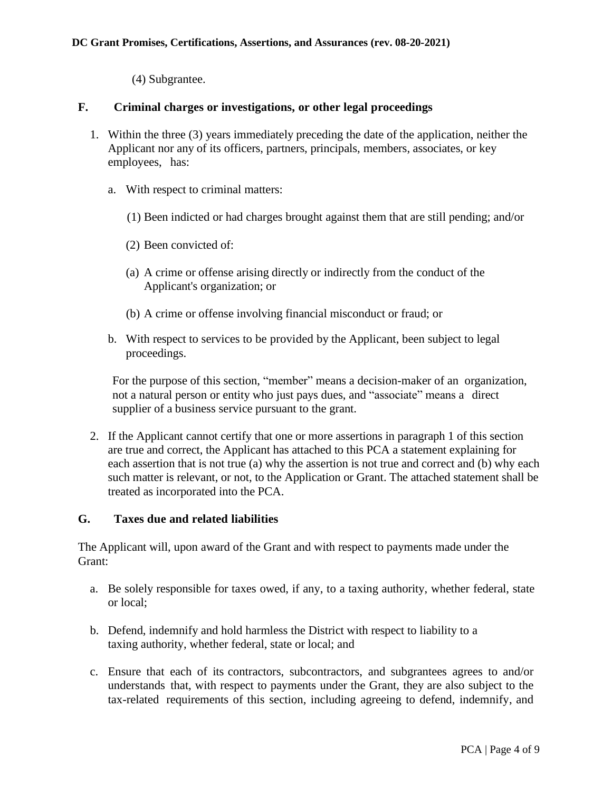(4) Subgrantee.

### <span id="page-3-0"></span>**F. Criminal charges or investigations, or other legal proceedings**

- 1. Within the three (3) years immediately preceding the date of the application, neither the Applicant nor any of its officers, partners, principals, members, associates, or key employees, has:
	- a. With respect to criminal matters:
		- (1) Been indicted or had charges brought against them that are still pending; and/or
		- (2) Been convicted of:
		- (a) A crime or offense arising directly or indirectly from the conduct of the Applicant's organization; or
		- (b) A crime or offense involving financial misconduct or fraud; or
	- b. With respect to services to be provided by the Applicant, been subject to legal proceedings.

For the purpose of this section, "member" means a decision-maker of an organization, not a natural person or entity who just pays dues, and "associate" means a direct supplier of a business service pursuant to the grant.

2. If the Applicant cannot certify that one or more assertions in paragraph 1 of this section are true and correct, the Applicant has attached to this PCA a statement explaining for each assertion that is not true (a) why the assertion is not true and correct and (b) why each such matter is relevant, or not, to the Application or Grant. The attached statement shall be treated as incorporated into the PCA.

### <span id="page-3-1"></span>**G. Taxes due and related liabilities**

The Applicant will, upon award of the Grant and with respect to payments made under the Grant:

- a. Be solely responsible for taxes owed, if any, to a taxing authority, whether federal, state or local;
- b. Defend, indemnify and hold harmless the District with respect to liability to a taxing authority, whether federal, state or local; and
- c. Ensure that each of its contractors, subcontractors, and subgrantees agrees to and/or understands that, with respect to payments under the Grant, they are also subject to the tax-related requirements of this section, including agreeing to defend, indemnify, and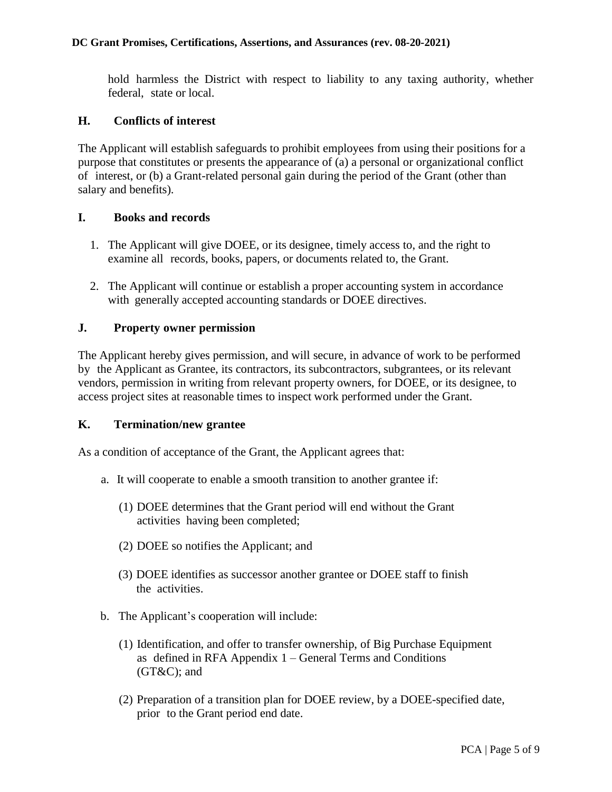hold harmless the District with respect to liability to any taxing authority, whether federal, state or local.

#### <span id="page-4-0"></span>**H. Conflicts of interest**

The Applicant will establish safeguards to prohibit employees from using their positions for a purpose that constitutes or presents the appearance of (a) a personal or organizational conflict of interest, or (b) a Grant-related personal gain during the period of the Grant (other than salary and benefits).

#### <span id="page-4-1"></span>**I. Books and records**

- 1. The Applicant will give DOEE, or its designee, timely access to, and the right to examine all records, books, papers, or documents related to, the Grant.
- 2. The Applicant will continue or establish a proper accounting system in accordance with generally accepted accounting standards or DOEE directives.

### <span id="page-4-2"></span>**J. Property owner permission**

The Applicant hereby gives permission, and will secure, in advance of work to be performed by the Applicant as Grantee, its contractors, its subcontractors, subgrantees, or its relevant vendors, permission in writing from relevant property owners, for DOEE, or its designee, to access project sites at reasonable times to inspect work performed under the Grant.

#### <span id="page-4-3"></span>**K. Termination/new grantee**

As a condition of acceptance of the Grant, the Applicant agrees that:

- a. It will cooperate to enable a smooth transition to another grantee if:
	- (1) DOEE determines that the Grant period will end without the Grant activities having been completed;
	- (2) DOEE so notifies the Applicant; and
	- (3) DOEE identifies as successor another grantee or DOEE staff to finish the activities.
- b. The Applicant's cooperation will include:
	- (1) Identification, and offer to transfer ownership, of Big Purchase Equipment as defined in RFA Appendix 1 – General Terms and Conditions  $(GT&C)$ ; and
	- (2) Preparation of a transition plan for DOEE review, by a DOEE-specified date, prior to the Grant period end date.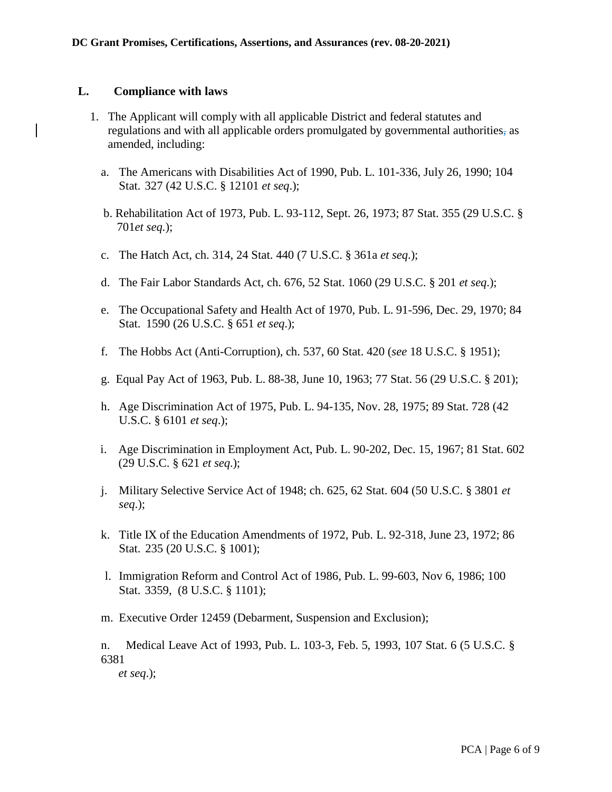#### <span id="page-5-0"></span>**L. Compliance with laws**

- 1. The Applicant will comply with all applicable District and federal statutes and regulations and with all applicable orders promulgated by governmental authorities, as amended, including:
	- a. The Americans with Disabilities Act of 1990, Pub. L. 101-336, July 26, 1990; 104 Stat. 327 (42 U.S.C. § 12101 *et seq*.);
	- b. Rehabilitation Act of 1973, Pub. L. 93-112, Sept. 26, 1973; 87 Stat. 355 (29 U.S.C. § 701*et seq.*);
	- c. The Hatch Act, ch. 314, 24 Stat. 440 (7 U.S.C. § 361a *et seq*.);
	- d. The Fair Labor Standards Act, ch. 676, 52 Stat. 1060 (29 U.S.C. § 201 *et seq*.);
	- e. The Occupational Safety and Health Act of 1970, Pub. L. 91-596, Dec. 29, 1970; 84 Stat. 1590 (26 U.S.C. § 651 *et seq*.);
	- f. The Hobbs Act (Anti-Corruption), ch. 537, 60 Stat. 420 (*see* 18 U.S.C. § 1951);
	- g. Equal Pay Act of 1963, Pub. L. 88-38, June 10, 1963; 77 Stat. 56 (29 U.S.C. § 201);
	- h. Age Discrimination Act of 1975, Pub. L. 94-135, Nov. 28, 1975; 89 Stat. 728 (42 U.S.C. § 6101 *et seq*.);
	- i. Age Discrimination in Employment Act, Pub. L. 90-202, Dec. 15, 1967; 81 Stat. 602 (29 U.S.C. § 621 *et seq*.);
	- j. Military Selective Service Act of 1948; ch. 625, 62 Stat. 604 (50 U.S.C. § 3801 *et seq*.);
	- k. Title IX of the Education Amendments of 1972, Pub. L. 92-318, June 23, 1972; 86 Stat. 235 (20 U.S.C. § 1001);
	- l. Immigration Reform and Control Act of 1986, Pub. L. 99-603, Nov 6, 1986; 100 Stat. 3359, (8 U.S.C. § 1101);
	- m. Executive Order 12459 (Debarment, Suspension and Exclusion);

n. Medical Leave Act of 1993, Pub. L. 103-3, Feb. 5, 1993, 107 Stat. 6 (5 U.S.C. § 6381

*et seq*.);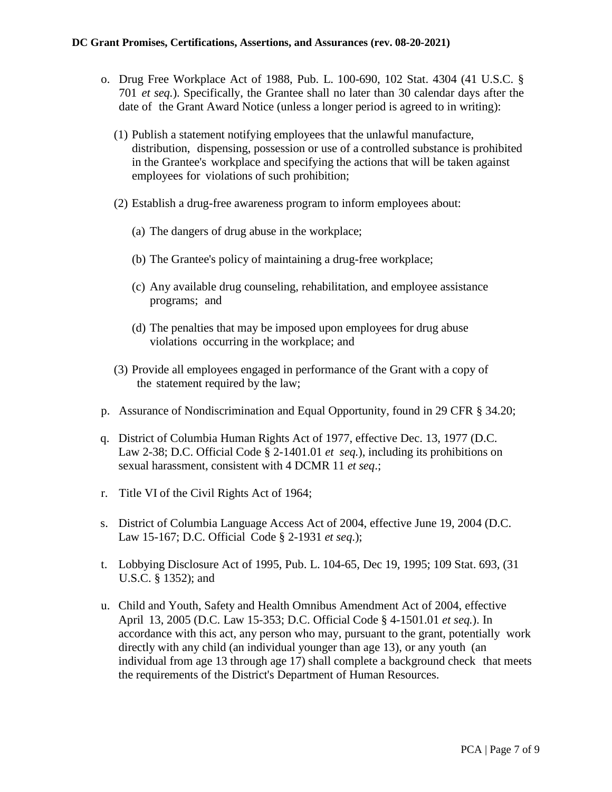- o. Drug Free Workplace Act of 1988, Pub. L. 100-690, 102 Stat. 4304 (41 U.S.C. § 701 *et seq.*). Specifically, the Grantee shall no later than 30 calendar days after the date of the Grant Award Notice (unless a longer period is agreed to in writing):
	- (1) Publish a statement notifying employees that the unlawful manufacture, distribution, dispensing, possession or use of a controlled substance is prohibited in the Grantee's workplace and specifying the actions that will be taken against employees for violations of such prohibition;
	- (2) Establish a drug-free awareness program to inform employees about:
		- (a) The dangers of drug abuse in the workplace;
		- (b) The Grantee's policy of maintaining a drug-free workplace;
		- (c) Any available drug counseling, rehabilitation, and employee assistance programs; and
		- (d) The penalties that may be imposed upon employees for drug abuse violations occurring in the workplace; and
	- (3) Provide all employees engaged in performance of the Grant with a copy of the statement required by the law;
- p. Assurance of Nondiscrimination and Equal Opportunity, found in 29 CFR § 34.20;
- q. District of Columbia Human Rights Act of 1977, effective Dec. 13, 1977 (D.C. Law 2-38; D.C. Official Code § 2-1401.01 *et seq.*), including its prohibitions on sexual harassment, consistent with 4 DCMR 11 *et seq*.;
- r. Title VI of the Civil Rights Act of 1964;
- s. District of Columbia Language Access Act of 2004, effective June 19, 2004 (D.C. Law 15-167; D.C. Official Code § 2-1931 *et seq*.);
- t. Lobbying Disclosure Act of 1995, Pub. L. 104-65, Dec 19, 1995; 109 Stat. 693, (31 U.S.C. § 1352); and
- u. Child and Youth, Safety and Health Omnibus Amendment Act of 2004, effective April 13, 2005 (D.C. Law 15-353; D.C. Official Code § 4-1501.01 *et seq.*). In accordance with this act, any person who may, pursuant to the grant, potentially work directly with any child (an individual younger than age 13), or any youth (an individual from age 13 through age 17) shall complete a background check that meets the requirements of the District's Department of Human Resources.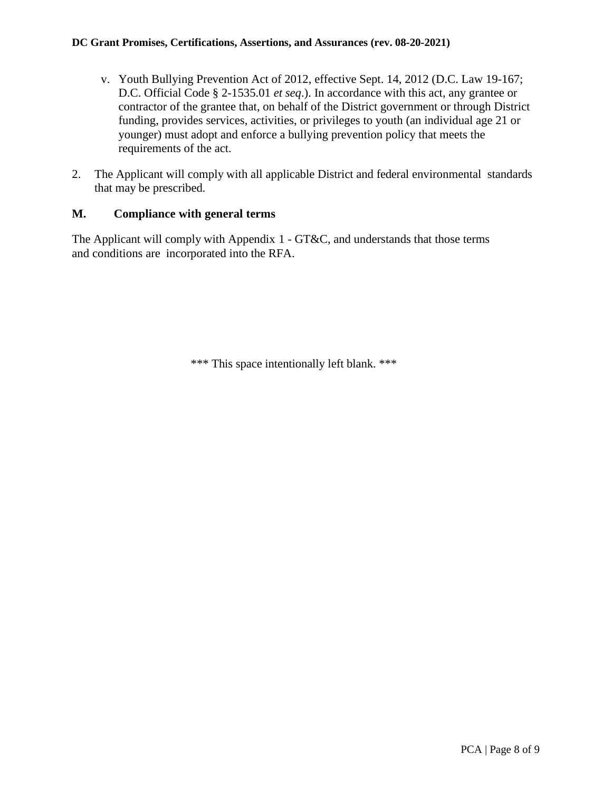- v. Youth Bullying Prevention Act of 2012, effective Sept. 14, 2012 (D.C. Law 19-167; D.C. Official Code § 2-1535.01 *et seq*.). In accordance with this act, any grantee or contractor of the grantee that, on behalf of the District government or through District funding, provides services, activities, or privileges to youth (an individual age 21 or younger) must adopt and enforce a bullying prevention policy that meets the requirements of the act.
- 2. The Applicant will comply with all applicable District and federal environmental standards that may be prescribed.

#### <span id="page-7-0"></span>**M. Compliance with general terms**

The Applicant will comply with Appendix 1 - GT&C, and understands that those terms and conditions are incorporated into the RFA.

\*\*\* This space intentionally left blank. \*\*\*